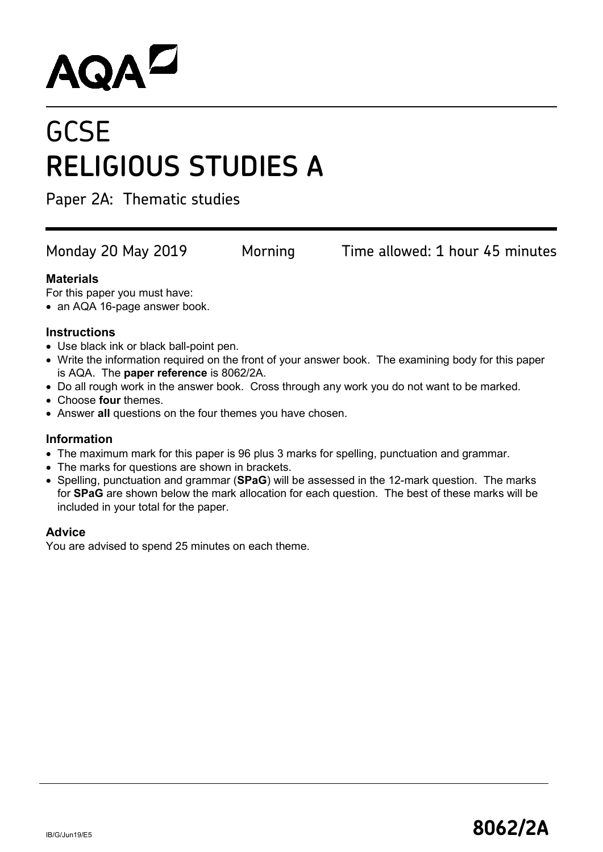# **AQAL**

## **GCSE RELIGIOUS STUDIES A**

Paper 2A: Thematic studies

Monday 20 May 2019 Morning Time allowed: 1 hour 45 minutes

### **Materials**

For this paper you must have:

• an AQA 16-page answer book.

#### **Instructions**

- Use black ink or black ball-point pen.
- Write the information required on the front of your answer book. The examining body for this paper is AQA. The **paper reference** is 8062/2A.
- Do all rough work in the answer book. Cross through any work you do not want to be marked.
- Choose **four** themes.
- Answer **all** questions on the four themes you have chosen.

#### **Information**

- The maximum mark for this paper is 96 plus 3 marks for spelling, punctuation and grammar.
- The marks for questions are shown in brackets.
- Spelling, punctuation and grammar (**SPaG**) will be assessed in the 12-mark question. The marks for **SPaG** are shown below the mark allocation for each question. The best of these marks will be included in your total for the paper.

#### **Advice**

You are advised to spend 25 minutes on each theme.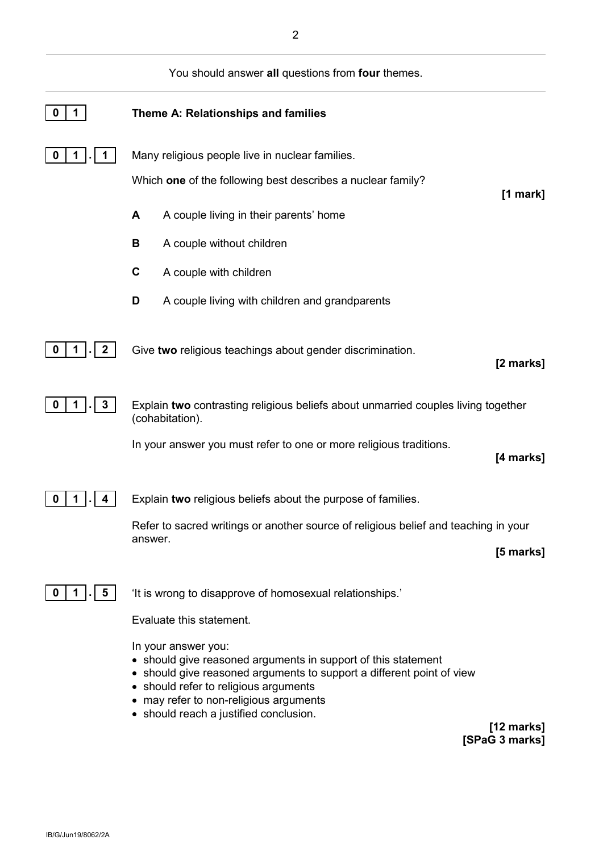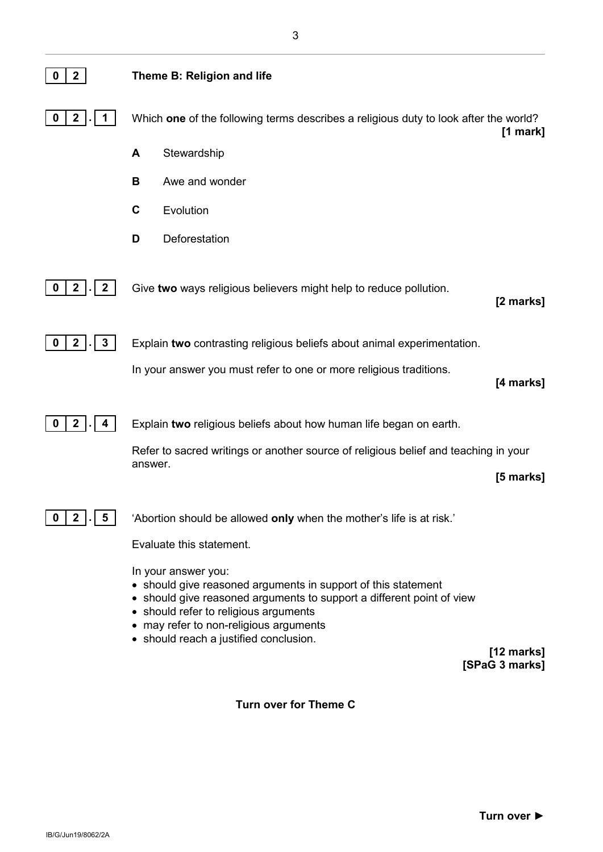| $\mathbf{2}$                            | Theme B: Religion and life                                                                                                                                                                                                                                                                               |
|-----------------------------------------|----------------------------------------------------------------------------------------------------------------------------------------------------------------------------------------------------------------------------------------------------------------------------------------------------------|
| $\mathbf{2}$<br>0                       | Which one of the following terms describes a religious duty to look after the world?<br>[1 mark]                                                                                                                                                                                                         |
|                                         | Stewardship<br>A                                                                                                                                                                                                                                                                                         |
|                                         | Awe and wonder<br>В                                                                                                                                                                                                                                                                                      |
|                                         | C<br>Evolution                                                                                                                                                                                                                                                                                           |
|                                         | Deforestation<br>D                                                                                                                                                                                                                                                                                       |
| $\boldsymbol{2}$<br>2 <sub>1</sub><br>0 | Give two ways religious believers might help to reduce pollution.<br>[2 marks]                                                                                                                                                                                                                           |
| 2 <sub>1</sub><br>$\boldsymbol{3}$<br>0 | Explain two contrasting religious beliefs about animal experimentation.                                                                                                                                                                                                                                  |
|                                         | In your answer you must refer to one or more religious traditions.<br>[4 marks]                                                                                                                                                                                                                          |
| $\mathbf{2}$<br>0                       | Explain two religious beliefs about how human life began on earth.                                                                                                                                                                                                                                       |
|                                         | Refer to sacred writings or another source of religious belief and teaching in your<br>answer.<br>[5 marks]                                                                                                                                                                                              |
| $\mathbf 2$<br>0<br>5                   | 'Abortion should be allowed only when the mother's life is at risk.'                                                                                                                                                                                                                                     |
|                                         | Evaluate this statement.                                                                                                                                                                                                                                                                                 |
|                                         | In your answer you:<br>• should give reasoned arguments in support of this statement<br>• should give reasoned arguments to support a different point of view<br>• should refer to religious arguments<br>• may refer to non-religious arguments<br>• should reach a justified conclusion.<br>[12 marks] |

**[12 marks] [SPaG 3 marks]**

#### **Turn over for Theme C**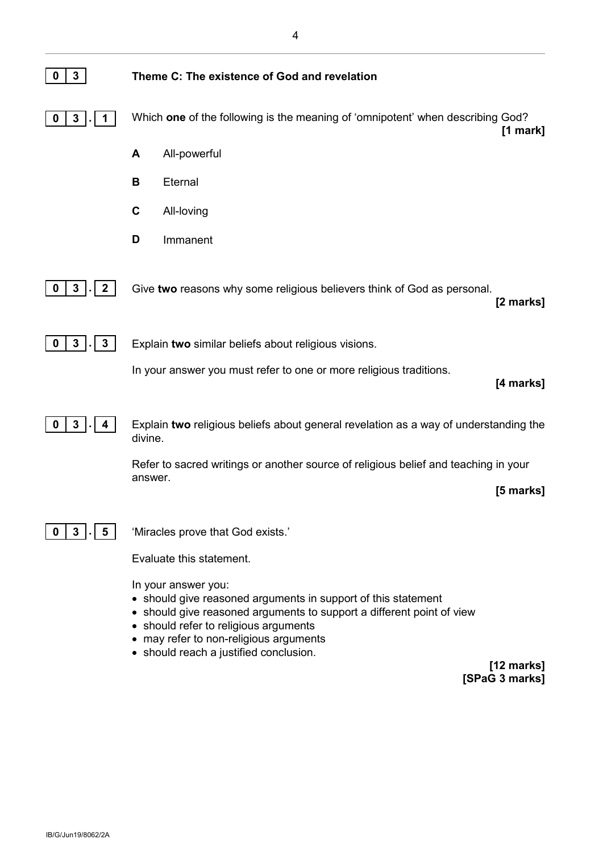| 3                                           | Theme C: The existence of God and revelation                                                                                                                                                           |
|---------------------------------------------|--------------------------------------------------------------------------------------------------------------------------------------------------------------------------------------------------------|
| 3<br>0                                      | Which one of the following is the meaning of 'omnipotent' when describing God?<br>$[1$ mark]                                                                                                           |
|                                             | All-powerful<br>A                                                                                                                                                                                      |
|                                             | B<br>Eternal                                                                                                                                                                                           |
|                                             | $\mathbf c$<br>All-loving                                                                                                                                                                              |
|                                             | Immanent<br>D                                                                                                                                                                                          |
| 3<br>$\mathbf{2}$                           | Give two reasons why some religious believers think of God as personal.<br>[2 marks]                                                                                                                   |
| $\mathbf{3}$<br>$\mathbf{3}$<br>$\mathbf 0$ | Explain two similar beliefs about religious visions.                                                                                                                                                   |
|                                             | In your answer you must refer to one or more religious traditions.<br>[4 marks]                                                                                                                        |
| 3<br>4                                      | Explain two religious beliefs about general revelation as a way of understanding the<br>divine.                                                                                                        |
|                                             | Refer to sacred writings or another source of religious belief and teaching in your<br>answer.<br>[5 marks]                                                                                            |
| 3                                           | 'Miracles prove that God exists.'                                                                                                                                                                      |
|                                             | Evaluate this statement.                                                                                                                                                                               |
|                                             | In your answer you:<br>• should give reasoned arguments in support of this statement<br>• should give reasoned arguments to support a different point of view<br>• should refer to religious arguments |

- may refer to non-religious arguments
- should reach a justified conclusion.

**[12 marks] [SPaG 3 marks]**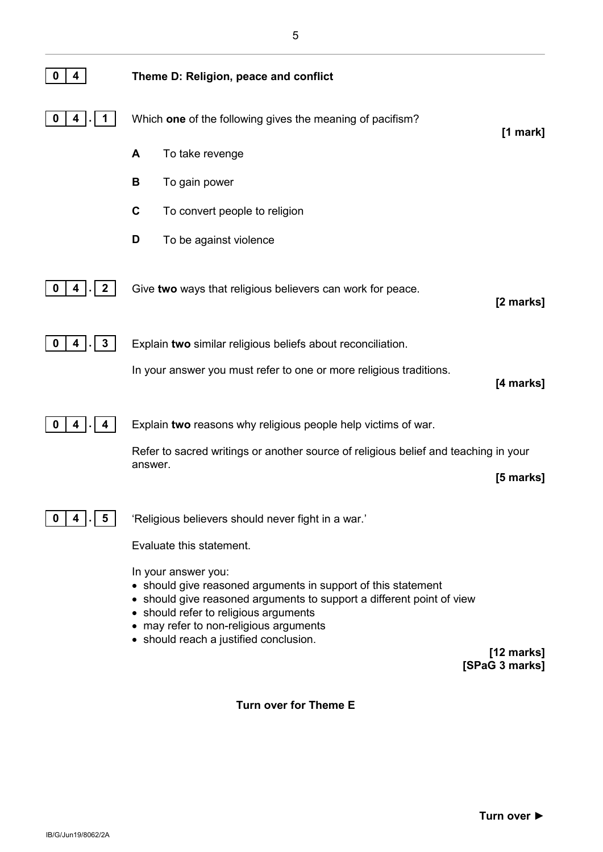| 4                      | Theme D: Religion, peace and conflict                                                                                                                                                                                                                                                                              |
|------------------------|--------------------------------------------------------------------------------------------------------------------------------------------------------------------------------------------------------------------------------------------------------------------------------------------------------------------|
| 4<br>0                 | Which one of the following gives the meaning of pacifism?<br>$[1$ mark]                                                                                                                                                                                                                                            |
|                        | A<br>To take revenge                                                                                                                                                                                                                                                                                               |
|                        | В<br>To gain power                                                                                                                                                                                                                                                                                                 |
|                        | $\mathbf c$<br>To convert people to religion                                                                                                                                                                                                                                                                       |
|                        | D<br>To be against violence                                                                                                                                                                                                                                                                                        |
| $\boldsymbol{2}$<br>4  | Give two ways that religious believers can work for peace.<br>[2 marks]                                                                                                                                                                                                                                            |
| $\mathbf{3}$<br>4<br>0 | Explain two similar religious beliefs about reconciliation.                                                                                                                                                                                                                                                        |
|                        | In your answer you must refer to one or more religious traditions.<br>[4 marks]                                                                                                                                                                                                                                    |
|                        | Explain two reasons why religious people help victims of war.                                                                                                                                                                                                                                                      |
|                        | Refer to sacred writings or another source of religious belief and teaching in your                                                                                                                                                                                                                                |
|                        | answer.<br>[5 marks]                                                                                                                                                                                                                                                                                               |
| 5                      | 'Religious believers should never fight in a war.'                                                                                                                                                                                                                                                                 |
|                        | Evaluate this statement.                                                                                                                                                                                                                                                                                           |
|                        | In your answer you:<br>• should give reasoned arguments in support of this statement<br>• should give reasoned arguments to support a different point of view<br>• should refer to religious arguments<br>• may refer to non-religious arguments<br>• should reach a justified conclusion.<br>$[12 \text{ marks}]$ |
|                        | [SPaG 3 marks]                                                                                                                                                                                                                                                                                                     |

5

**Turn over for Theme E**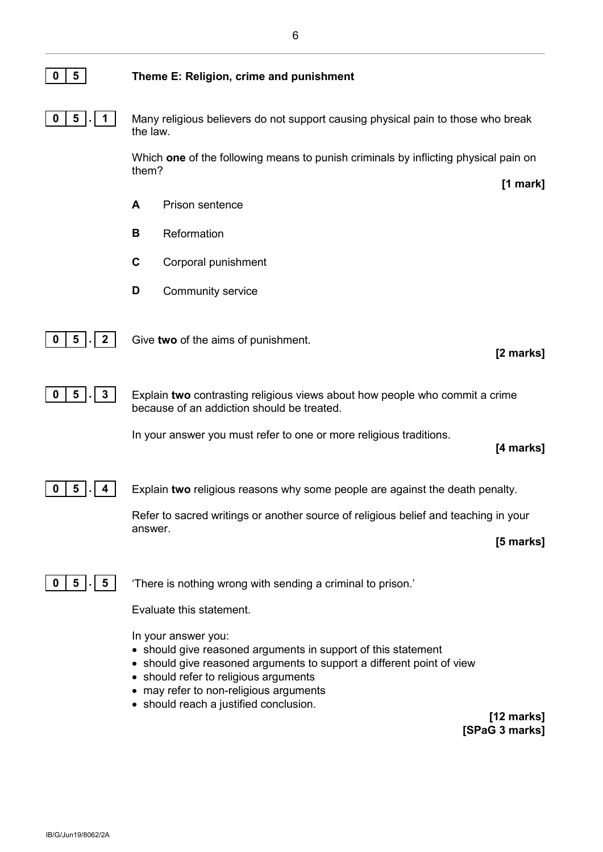

**0 5 . 1** Many religious believers do not support causing physical pain to those who break the law.

> Which **one** of the following means to punish criminals by inflicting physical pain on them?

- **A** Prison sentence
- **B** Reformation
- **C** Corporal punishment
- **D** Community service



**0 5 . 1 2 d** Give **two** of the aims of punishment.

**0 5 . 3** Explain **two** contrasting religious views about how people who commit a crime because of an addiction should be treated.

In your answer you must refer to one or more religious traditions.

#### **[4 marks]**

**[2 marks]**

**[1 mark]**



**0 5**  $\vert \cdot \vert$  **4 Explain two religious reasons why some people are against the death penalty.** 

Refer to sacred writings or another source of religious belief and teaching in your answer.

**[5 marks]**



**0 5**  $\begin{bmatrix} . & 5 & \end{bmatrix}$  There is nothing wrong with sending a criminal to prison.'

Evaluate this statement.

In your answer you:

- should give reasoned arguments in support of this statement
- should give reasoned arguments to support a different point of view
- should refer to religious arguments
- may refer to non-religious arguments
- should reach a justified conclusion.

**[12 marks] [SPaG 3 marks]**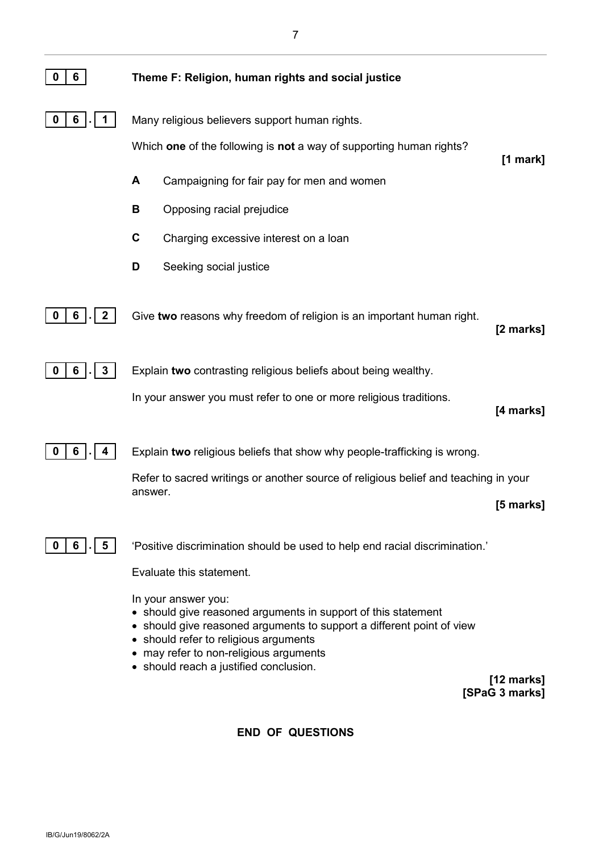| 6<br>0                 | Theme F: Religion, human rights and social justice                                                                                                                                                                                                                                       |            |
|------------------------|------------------------------------------------------------------------------------------------------------------------------------------------------------------------------------------------------------------------------------------------------------------------------------------|------------|
| 0<br>6                 | Many religious believers support human rights.                                                                                                                                                                                                                                           |            |
|                        | Which one of the following is not a way of supporting human rights?                                                                                                                                                                                                                      | $[1$ mark] |
|                        | A<br>Campaigning for fair pay for men and women                                                                                                                                                                                                                                          |            |
|                        | В<br>Opposing racial prejudice                                                                                                                                                                                                                                                           |            |
|                        | $\mathbf c$<br>Charging excessive interest on a loan                                                                                                                                                                                                                                     |            |
|                        | D<br>Seeking social justice                                                                                                                                                                                                                                                              |            |
| $\mathbf{2}$<br>0<br>6 | Give two reasons why freedom of religion is an important human right.                                                                                                                                                                                                                    | [2 marks]  |
| $\mathbf{3}$<br>6<br>0 | Explain two contrasting religious beliefs about being wealthy.                                                                                                                                                                                                                           |            |
|                        | In your answer you must refer to one or more religious traditions.                                                                                                                                                                                                                       | [4 marks]  |
| 6<br>0                 | Explain two religious beliefs that show why people-trafficking is wrong.                                                                                                                                                                                                                 |            |
|                        | Refer to sacred writings or another source of religious belief and teaching in your                                                                                                                                                                                                      |            |
|                        | answer.                                                                                                                                                                                                                                                                                  | [5 marks]  |
| 5<br>6<br>0            | 'Positive discrimination should be used to help end racial discrimination.'                                                                                                                                                                                                              |            |
|                        | Evaluate this statement.                                                                                                                                                                                                                                                                 |            |
|                        | In your answer you:<br>• should give reasoned arguments in support of this statement<br>• should give reasoned arguments to support a different point of view<br>• should refer to religious arguments<br>may refer to non-religious arguments<br>• should reach a justified conclusion. |            |

**[12 marks] [SPaG 3 marks]**

**END OF QUESTIONS**